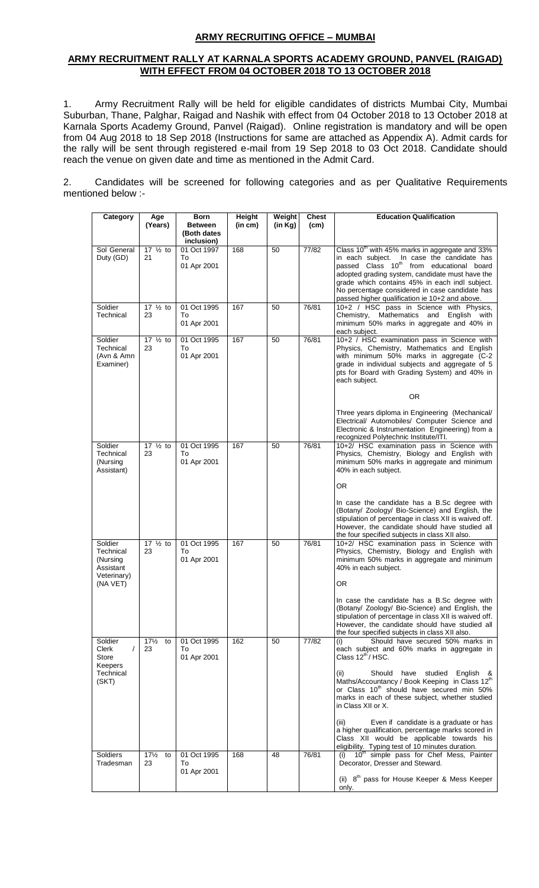## **ARMY RECRUITING OFFICE – MUMBAI**

#### **ARMY RECRUITMENT RALLY AT KARNALA SPORTS ACADEMY GROUND, PANVEL (RAIGAD) WITH EFFECT FROM 04 OCTOBER 2018 TO 13 OCTOBER 2018**

1. Army Recruitment Rally will be held for eligible candidates of districts Mumbai City, Mumbai Suburban, Thane, Palghar, Raigad and Nashik with effect from 04 October 2018 to 13 October 2018 at Karnala Sports Academy Ground, Panvel (Raigad). Online registration is mandatory and will be open from 04 Aug 2018 to 18 Sep 2018 (Instructions for same are attached as Appendix A). Admit cards for the rally will be sent through registered e-mail from 19 Sep 2018 to 03 Oct 2018. Candidate should reach the venue on given date and time as mentioned in the Admit Card.

2. Candidates will be screened for following categories and as per Qualitative Requirements mentioned below :-

| Category                                                     | Age                         | <b>Born</b>                                 | Height  | Weight  | <b>Chest</b> | <b>Education Qualification</b>                                                                                                                                                                                                                               |
|--------------------------------------------------------------|-----------------------------|---------------------------------------------|---------|---------|--------------|--------------------------------------------------------------------------------------------------------------------------------------------------------------------------------------------------------------------------------------------------------------|
|                                                              | (Years)                     | <b>Between</b><br>(Both dates<br>inclusion) | (in cm) | (in Kg) | (cm)         |                                                                                                                                                                                                                                                              |
| Sol General<br>Duty (GD)                                     | 17 $\frac{1}{2}$ to<br>21   | 01 Oct 1997<br>To                           | 168     | 50      | 77/82        | Class 10 <sup>th</sup> with 45% marks in aggregate and 33%<br>in each subject. In case the candidate has                                                                                                                                                     |
|                                                              |                             | 01 Apr 2001                                 |         |         |              | passed Class 10 <sup>th</sup> from educational board<br>adopted grading system, candidate must have the                                                                                                                                                      |
|                                                              |                             |                                             |         |         |              | grade which contains 45% in each indl subject.<br>No percentage considered in case candidate has<br>passed higher qualification ie 10+2 and above.                                                                                                           |
| Soldier                                                      | 17 $\frac{1}{2}$ to         | 01 Oct 1995                                 | 167     | 50      | 76/81        | 10+2 / HSC pass in Science with Physics,                                                                                                                                                                                                                     |
| Technical                                                    | 23                          | To<br>01 Apr 2001                           |         |         |              | Chemistry, Mathematics and<br>English with<br>minimum 50% marks in aggregate and 40% in<br>each subject.                                                                                                                                                     |
| Soldier<br>Technical<br>(Avn & Amn<br>Examiner)              | $17 \frac{1}{2}$ to<br>23   | 01 Oct 1995<br>To<br>01 Apr 2001            | 167     | 50      | 76/81        | 10+2 / HSC examination pass in Science with<br>Physics, Chemistry, Mathematics and English<br>with minimum 50% marks in aggregate (C-2<br>grade in individual subjects and aggregate of 5<br>pts for Board with Grading System) and 40% in<br>each subject.  |
|                                                              |                             |                                             |         |         |              | OR.                                                                                                                                                                                                                                                          |
|                                                              |                             |                                             |         |         |              | Three years diploma in Engineering (Mechanical/<br>Electrical/ Automobiles/ Computer Science and<br>Electronic & Instrumentation Engineering) from a<br>recognized Polytechnic Institute/ITI.                                                                |
| Soldier<br>Technical<br>(Nursing<br>Assistant)               | 17 $\frac{1}{2}$ to<br>23   | 01 Oct 1995<br>To<br>01 Apr 2001            | 167     | 50      | 76/81        | 10+2/ HSC examination pass in Science with<br>Physics, Chemistry, Biology and English with<br>minimum 50% marks in aggregate and minimum<br>40% in each subject.                                                                                             |
|                                                              |                             |                                             |         |         |              | <b>OR</b>                                                                                                                                                                                                                                                    |
|                                                              |                             |                                             |         |         |              | In case the candidate has a B.Sc degree with<br>(Botany/ Zoology/ Bio-Science) and English, the<br>stipulation of percentage in class XII is waived off.<br>However, the candidate should have studied all<br>the four specified subjects in class XII also. |
| Soldier<br>Technical<br>(Nursing<br>Assistant<br>Veterinary) | 17 $\frac{1}{2}$ to<br>23   | 01 Oct 1995<br>To<br>01 Apr 2001            | 167     | 50      | 76/81        | 10+2/ HSC examination pass in Science with<br>Physics, Chemistry, Biology and English with<br>minimum 50% marks in aggregate and minimum<br>40% in each subject.                                                                                             |
| (NA VET)                                                     |                             |                                             |         |         |              | 0R                                                                                                                                                                                                                                                           |
|                                                              |                             |                                             |         |         |              | In case the candidate has a B.Sc degree with<br>(Botany/ Zoology/ Bio-Science) and English, the<br>stipulation of percentage in class XII is waived off.<br>However, the candidate should have studied all<br>the four specified subjects in class XII also. |
| Soldier<br>Clerk<br>Store<br>Keepers                         | $17\frac{1}{2}$ to<br>23    | 01 Oct 1995<br>To<br>01 Apr 2001            | 162     | 50      | 77/82        | Should have secured 50% marks in<br>(i)<br>each subject and 60% marks in aggregate in<br>Class $12^{th}$ / HSC.                                                                                                                                              |
| Technical<br>(SKT)                                           |                             |                                             |         |         |              | (i)<br>Should have studied English &<br>Maths/Accountancy / Book Keeping in Class 12 <sup>th</sup><br>or Class 10 <sup>th</sup> should have secured min 50%<br>marks in each of these subject, whether studied<br>in Class XII or X.                         |
|                                                              |                             |                                             |         |         |              | Even if candidate is a graduate or has<br>(iii)<br>a higher qualification, percentage marks scored in<br>Class XII would be applicable towards his<br>eligibility. Typing test of 10 minutes duration.                                                       |
| Soldiers<br>Tradesman                                        | $17\frac{1}{2}$<br>to<br>23 | 01 Oct 1995<br>To<br>01 Apr 2001            | 168     | 48      | 76/81        | 10 <sup>th</sup> simple pass for Chef Mess, Painter<br>Decorator, Dresser and Steward.                                                                                                                                                                       |
|                                                              |                             |                                             |         |         |              | (ii) $8th$ pass for House Keeper & Mess Keeper<br>only.                                                                                                                                                                                                      |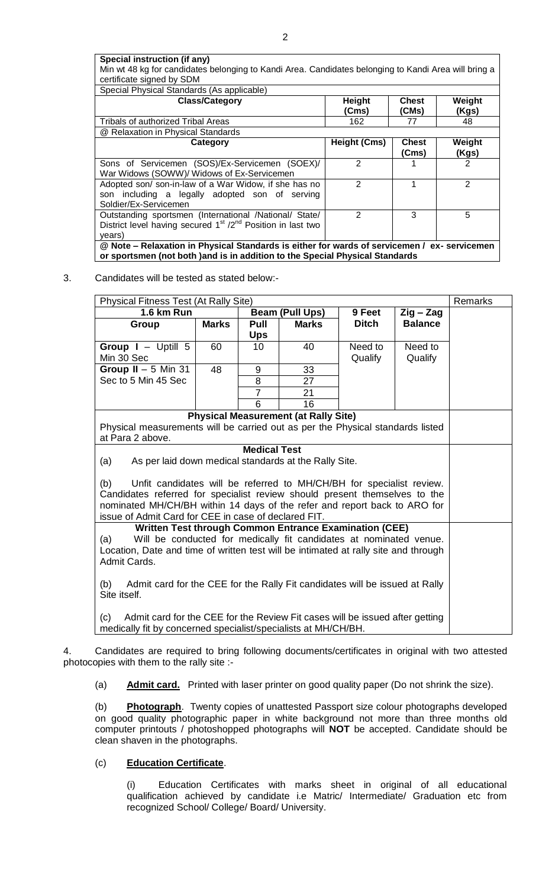**Special instruction (if any)** Min wt 48 kg for candidates belonging to Kandi Area. Candidates belonging to Kandi Area will bring a certificate signed by SDM

| Special Physical Standards (As applicable)                                                                                                                                    |                     |                       |                 |  |
|-------------------------------------------------------------------------------------------------------------------------------------------------------------------------------|---------------------|-----------------------|-----------------|--|
| <b>Class/Category</b>                                                                                                                                                         | <b>Height</b>       | <b>Chest</b>          | Weight          |  |
|                                                                                                                                                                               | (Cms)               | (CMs)                 | (Kgs)           |  |
| <b>Tribals of authorized Tribal Areas</b>                                                                                                                                     | 162                 | 77                    | 48              |  |
| @ Relaxation in Physical Standards                                                                                                                                            |                     |                       |                 |  |
| Category                                                                                                                                                                      | <b>Height (Cms)</b> | <b>Chest</b><br>(Cms) | Weight<br>(Kgs) |  |
| Sons of Servicemen (SOS)/Ex-Servicemen (SOEX)/<br>War Widows (SOWW)/ Widows of Ex-Servicemen                                                                                  | $\overline{2}$      |                       | 2               |  |
| Adopted son/son-in-law of a War Widow, if she has no<br>son including a legally adopted son of serving<br>Soldier/Ex-Servicemen                                               | $\overline{2}$      |                       | $\overline{2}$  |  |
| Outstanding sportsmen (International /National/ State/<br>District level having secured $1st / 2nd$ Position in last two<br>years)                                            | 2                   | 3                     | 5               |  |
| @ Note - Relaxation in Physical Standards is either for wards of servicemen / ex- servicemen<br>or sportsmen (not both ) and is in addition to the Special Physical Standards |                     |                       |                 |  |

### 3. Candidates will be tested as stated below:-

| Physical Fitness Test (At Rally Site)                                               |                                                                            |                     |                                             |                                   |                | Remarks |  |
|-------------------------------------------------------------------------------------|----------------------------------------------------------------------------|---------------------|---------------------------------------------|-----------------------------------|----------------|---------|--|
| 1.6 km Run                                                                          | <b>Beam (Pull Ups)</b>                                                     |                     | 9 Feet                                      | $\mathsf{Z}$ ig – $\mathsf{Z}$ ag |                |         |  |
| Group                                                                               | <b>Marks</b>                                                               | Pull                | <b>Marks</b>                                | <b>Ditch</b>                      | <b>Balance</b> |         |  |
|                                                                                     |                                                                            | <b>Ups</b>          |                                             |                                   |                |         |  |
| Group $I - U$ ptill 5                                                               | 60                                                                         | 10                  | 40                                          | Need to                           | Need to        |         |  |
| Min 30 Sec                                                                          |                                                                            |                     |                                             | Qualify                           | Qualify        |         |  |
| Group $II - 5$ Min 31                                                               | 48                                                                         | 9                   | 33                                          |                                   |                |         |  |
| Sec to 5 Min 45 Sec                                                                 |                                                                            | 8                   | 27                                          |                                   |                |         |  |
|                                                                                     |                                                                            | $\overline{7}$      | 21                                          |                                   |                |         |  |
|                                                                                     |                                                                            | 6                   | 16                                          |                                   |                |         |  |
|                                                                                     |                                                                            |                     | <b>Physical Measurement (at Rally Site)</b> |                                   |                |         |  |
| Physical measurements will be carried out as per the Physical standards listed      |                                                                            |                     |                                             |                                   |                |         |  |
| at Para 2 above.                                                                    |                                                                            |                     |                                             |                                   |                |         |  |
|                                                                                     |                                                                            | <b>Medical Test</b> |                                             |                                   |                |         |  |
| (a)<br>As per laid down medical standards at the Rally Site.                        |                                                                            |                     |                                             |                                   |                |         |  |
|                                                                                     |                                                                            |                     |                                             |                                   |                |         |  |
| Unfit candidates will be referred to MH/CH/BH for specialist review.<br>(b)         |                                                                            |                     |                                             |                                   |                |         |  |
|                                                                                     | Candidates referred for specialist review should present themselves to the |                     |                                             |                                   |                |         |  |
| nominated MH/CH/BH within 14 days of the refer and report back to ARO for           |                                                                            |                     |                                             |                                   |                |         |  |
| issue of Admit Card for CEE in case of declared FIT.                                |                                                                            |                     |                                             |                                   |                |         |  |
|                                                                                     | <b>Written Test through Common Entrance Examination (CEE)</b>              |                     |                                             |                                   |                |         |  |
| Will be conducted for medically fit candidates at nominated venue.<br>(a)           |                                                                            |                     |                                             |                                   |                |         |  |
| Location, Date and time of written test will be intimated at rally site and through |                                                                            |                     |                                             |                                   |                |         |  |
| Admit Cards.                                                                        |                                                                            |                     |                                             |                                   |                |         |  |
| Admit card for the CEE for the Rally Fit candidates will be issued at Rally<br>(b)  |                                                                            |                     |                                             |                                   |                |         |  |
| Site itself.                                                                        |                                                                            |                     |                                             |                                   |                |         |  |
|                                                                                     |                                                                            |                     |                                             |                                   |                |         |  |
| Admit card for the CEE for the Review Fit cases will be issued after getting<br>(c) |                                                                            |                     |                                             |                                   |                |         |  |
| medically fit by concerned specialist/specialists at MH/CH/BH.                      |                                                                            |                     |                                             |                                   |                |         |  |

4. Candidates are required to bring following documents/certificates in original with two attested photocopies with them to the rally site :-

(a) **Admit card.** Printed with laser printer on good quality paper (Do not shrink the size).

(b) **Photograph**. Twenty copies of unattested Passport size colour photographs developed on good quality photographic paper in white background not more than three months old computer printouts / photoshopped photographs will **NOT** be accepted. Candidate should be clean shaven in the photographs.

# (c) **Education Certificate**.

(i) Education Certificates with marks sheet in original of all educational qualification achieved by candidate i.e Matric/ Intermediate/ Graduation etc from recognized School/ College/ Board/ University.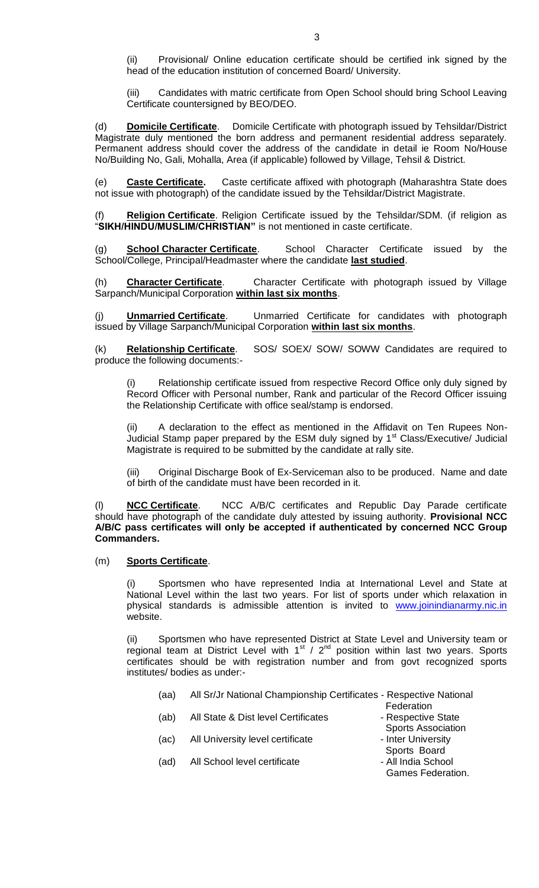(ii) Provisional/ Online education certificate should be certified ink signed by the head of the education institution of concerned Board/ University.

(iii) Candidates with matric certificate from Open School should bring School Leaving Certificate countersigned by BEO/DEO.

(d) **Domicile Certificate**. Domicile Certificate with photograph issued by Tehsildar/District Magistrate duly mentioned the born address and permanent residential address separately. Permanent address should cover the address of the candidate in detail ie Room No/House No/Building No, Gali, Mohalla, Area (if applicable) followed by Village, Tehsil & District.

(e) **Caste Certificate.** Caste certificate affixed with photograph (Maharashtra State does not issue with photograph) of the candidate issued by the Tehsildar/District Magistrate.

Religion Certificate. Religion Certificate issued by the Tehsildar/SDM. (if religion as ―**SIKH/HINDU/MUSLIM/CHRISTIAN"** is not mentioned in caste certificate.

(g) **School Character Certificate**. School Character Certificate issued by the School/College, Principal/Headmaster where the candidate **last studied**.

(h) **Character Certificate**. Character Certificate with photograph issued by Village Sarpanch/Municipal Corporation **within last six months**.

(j) **Unmarried Certificate**. Unmarried Certificate for candidates with photograph issued by Village Sarpanch/Municipal Corporation **within last six months**.

(k) **Relationship Certificate**. SOS/ SOEX/ SOW/ SOWW Candidates are required to produce the following documents:-

Relationship certificate issued from respective Record Office only duly signed by Record Officer with Personal number, Rank and particular of the Record Officer issuing the Relationship Certificate with office seal/stamp is endorsed.

(ii) A declaration to the effect as mentioned in the Affidavit on Ten Rupees Non-Judicial Stamp paper prepared by the ESM duly signed by 1<sup>st</sup> Class/Executive/ Judicial Magistrate is required to be submitted by the candidate at rally site.

(iii) Original Discharge Book of Ex-Serviceman also to be produced. Name and date of birth of the candidate must have been recorded in it.

(l) **NCC Certificate**. NCC A/B/C certificates and Republic Day Parade certificate should have photograph of the candidate duly attested by issuing authority. **Provisional NCC A/B/C pass certificates will only be accepted if authenticated by concerned NCC Group Commanders.**

#### (m) **Sports Certificate**.

Sportsmen who have represented India at International Level and State at National Level within the last two years. For list of sports under which relaxation in physical standards is admissible attention is invited to [www.joinindianarmy.nic.in](http://www.joinindianarmy.nic.in/) website.

Sportsmen who have represented District at State Level and University team or regional team at District Level with  $1^{st}$  /  $2^{nd}$  position within last two years. Sports certificates should be with registration number and from govt recognized sports institutes/ bodies as under:-

- (aa) All Sr/Jr National Championship Certificates Respective National **Federation**
- (ab) All State & Dist level Certificates Respective State
- (ac) All University level certificate Inter University

(ad) All School level certificate

- 
- Sports Board<br>All India School -
- 

Sports Association

Games Federation.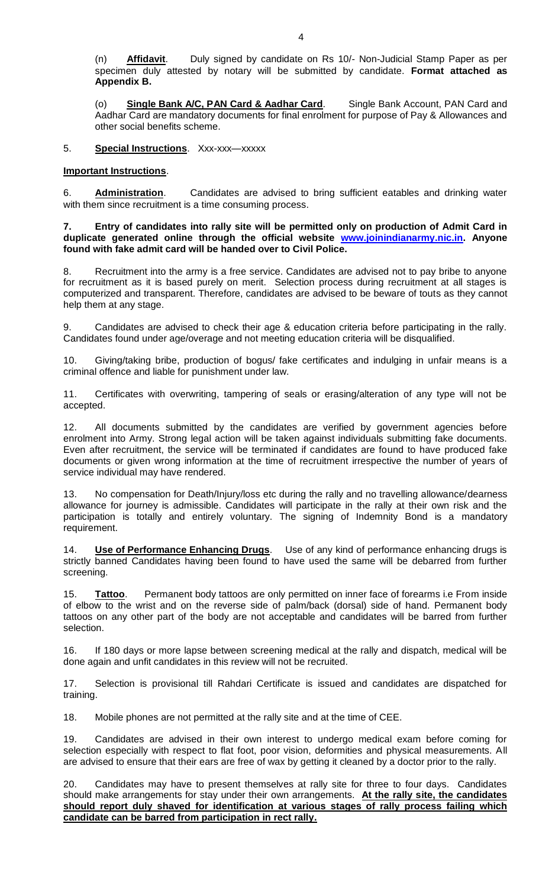(n) **Affidavit**. Duly signed by candidate on Rs 10/- Non-Judicial Stamp Paper as per specimen duly attested by notary will be submitted by candidate. **Format attached as Appendix B.**

(o) **Single Bank A/C, PAN Card & Aadhar Card**. Single Bank Account, PAN Card and Aadhar Card are mandatory documents for final enrolment for purpose of Pay & Allowances and other social benefits scheme.

### 5. **Special Instructions**. Xxx-xxx—xxxxx

### **Important Instructions**.

6. **Administration**. Candidates are advised to bring sufficient eatables and drinking water with them since recruitment is a time consuming process.

**7. Entry of candidates into rally site will be permitted only on production of Admit Card in duplicate generated online through the official website [www.joinindianarmy.nic.in.](http://www.joinindianarmy.nic.in/) Anyone found with fake admit card will be handed over to Civil Police.**

8. Recruitment into the army is a free service. Candidates are advised not to pay bribe to anyone for recruitment as it is based purely on merit. Selection process during recruitment at all stages is computerized and transparent. Therefore, candidates are advised to be beware of touts as they cannot help them at any stage.

9. Candidates are advised to check their age & education criteria before participating in the rally. Candidates found under age/overage and not meeting education criteria will be disqualified.

10. Giving/taking bribe, production of bogus/ fake certificates and indulging in unfair means is a criminal offence and liable for punishment under law.

11. Certificates with overwriting, tampering of seals or erasing/alteration of any type will not be accepted.

12. All documents submitted by the candidates are verified by government agencies before enrolment into Army. Strong legal action will be taken against individuals submitting fake documents. Even after recruitment, the service will be terminated if candidates are found to have produced fake documents or given wrong information at the time of recruitment irrespective the number of years of service individual may have rendered.

No compensation for Death/Injury/loss etc during the rally and no travelling allowance/dearness allowance for journey is admissible. Candidates will participate in the rally at their own risk and the participation is totally and entirely voluntary. The signing of Indemnity Bond is a mandatory requirement.

14. **Use of Performance Enhancing Drugs**. Use of any kind of performance enhancing drugs is strictly banned Candidates having been found to have used the same will be debarred from further screening.

15. **Tattoo**. Permanent body tattoos are only permitted on inner face of forearms i.e From inside of elbow to the wrist and on the reverse side of palm/back (dorsal) side of hand. Permanent body tattoos on any other part of the body are not acceptable and candidates will be barred from further selection.

16. If 180 days or more lapse between screening medical at the rally and dispatch, medical will be done again and unfit candidates in this review will not be recruited.

17. Selection is provisional till Rahdari Certificate is issued and candidates are dispatched for training.

18. Mobile phones are not permitted at the rally site and at the time of CEE.

19. Candidates are advised in their own interest to undergo medical exam before coming for selection especially with respect to flat foot, poor vision, deformities and physical measurements. All are advised to ensure that their ears are free of wax by getting it cleaned by a doctor prior to the rally.

20. Candidates may have to present themselves at rally site for three to four days. Candidates should make arrangements for stay under their own arrangements. **At the rally site, the candidates should report duly shaved for identification at various stages of rally process failing which candidate can be barred from participation in rect rally.**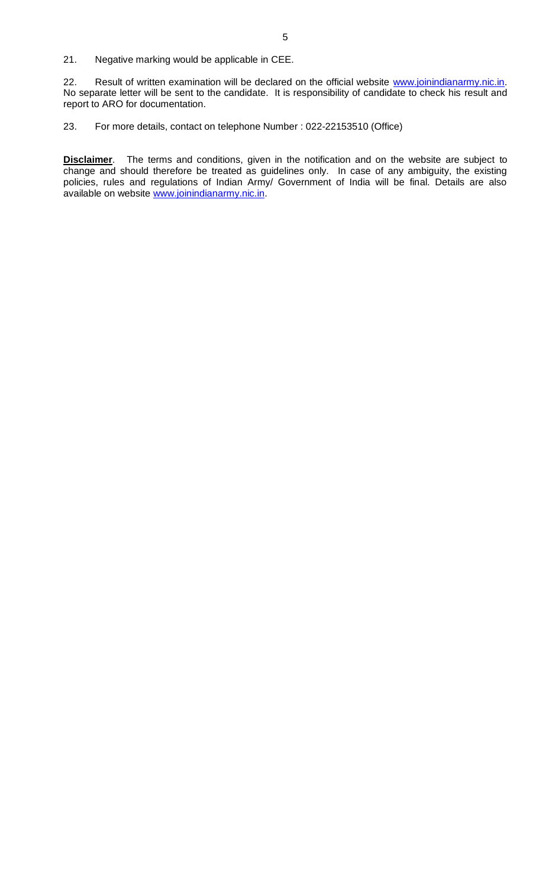22. Result of written examination will be declared on the official website [www.joinindianarmy.nic.in.](http://www.joinindianarmy.nic.in/) No separate letter will be sent to the candidate. It is responsibility of candidate to check his result and report to ARO for documentation.

23. For more details, contact on telephone Number : 022-22153510 (Office)

**Disclaimer**. The terms and conditions, given in the notification and on the website are subject to change and should therefore be treated as guidelines only. In case of any ambiguity, the existing policies, rules and regulations of Indian Army/ Government of India will be final. Details are also available on website [www.joinindianarmy.nic.in.](http://www.joinindianarmy.nic.in/)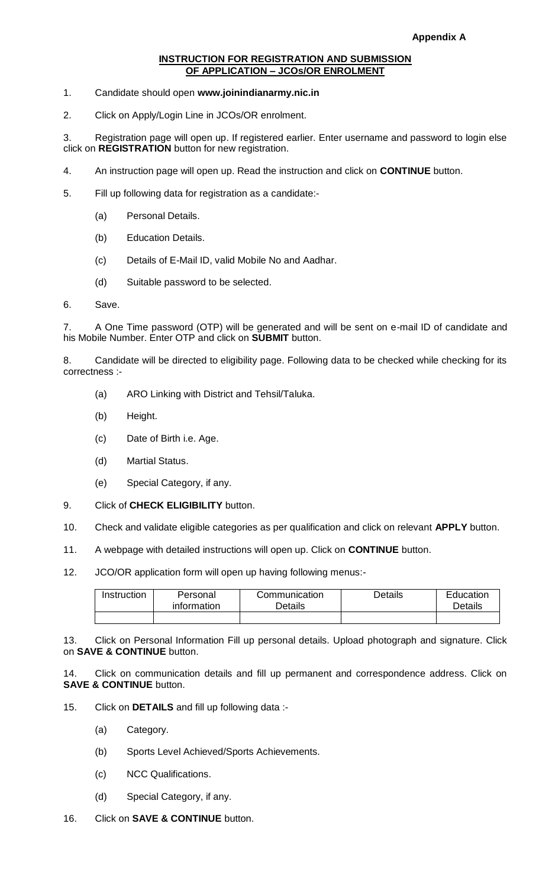# **INSTRUCTION FOR REGISTRATION AND SUBMISSION OF APPLICATION – JCOs/OR ENROLMENT**

- 1. Candidate should open **www.joinindianarmy.nic.in**
- 2. Click on Apply/Login Line in JCOs/OR enrolment.

3. Registration page will open up. If registered earlier. Enter username and password to login else click on **REGISTRATION** button for new registration.

- 4. An instruction page will open up. Read the instruction and click on **CONTINUE** button.
- 5. Fill up following data for registration as a candidate:-
	- (a) Personal Details.
	- (b) Education Details.
	- (c) Details of E-Mail ID, valid Mobile No and Aadhar.
	- (d) Suitable password to be selected.
- 6. Save.

7. A One Time password (OTP) will be generated and will be sent on e-mail ID of candidate and his Mobile Number. Enter OTP and click on **SUBMIT** button.

8. Candidate will be directed to eligibility page. Following data to be checked while checking for its correctness :-

- (a) ARO Linking with District and Tehsil/Taluka.
- (b) Height.
- (c) Date of Birth i.e. Age.
- (d) Martial Status.
- (e) Special Category, if any.
- 9. Click of **CHECK ELIGIBILITY** button.
- 10. Check and validate eligible categories as per qualification and click on relevant **APPLY** button.
- 11. A webpage with detailed instructions will open up. Click on **CONTINUE** button.
- 12. JCO/OR application form will open up having following menus:-

| Instruction | Personal<br>information | Communication<br>Details | <b>Details</b> | Education<br>Details |
|-------------|-------------------------|--------------------------|----------------|----------------------|
|             |                         |                          |                |                      |

13. Click on Personal Information Fill up personal details. Upload photograph and signature. Click on **SAVE & CONTINUE** button.

14. Click on communication details and fill up permanent and correspondence address. Click on **SAVE & CONTINUE** button.

- 15. Click on **DETAILS** and fill up following data :-
	- (a) Category.
	- (b) Sports Level Achieved/Sports Achievements.
	- (c) NCC Qualifications.
	- (d) Special Category, if any.
- 16. Click on **SAVE & CONTINUE** button.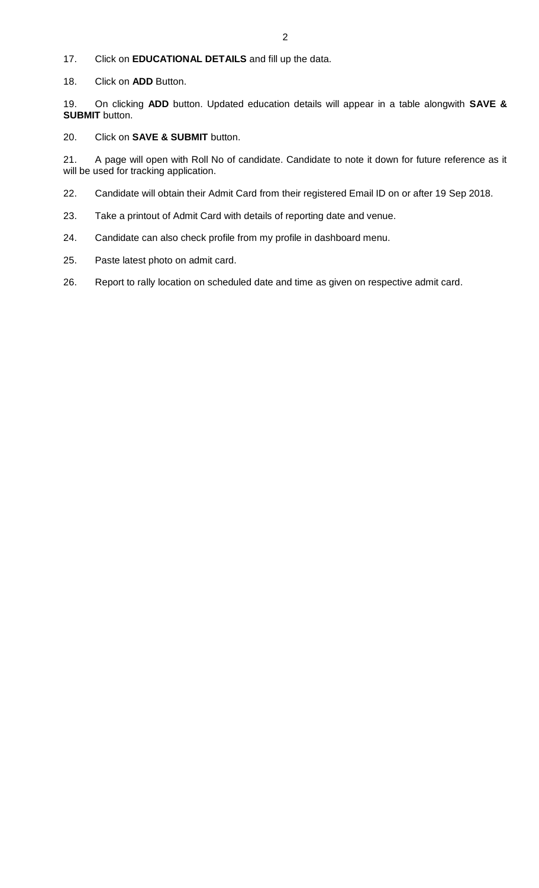- 17. Click on **EDUCATIONAL DETAILS** and fill up the data.
- 18. Click on **ADD** Button.

19. On clicking **ADD** button. Updated education details will appear in a table alongwith **SAVE & SUBMIT** button.

20. Click on **SAVE & SUBMIT** button.

21. A page will open with Roll No of candidate. Candidate to note it down for future reference as it will be used for tracking application.

- 22. Candidate will obtain their Admit Card from their registered Email ID on or after 19 Sep 2018.
- 23. Take a printout of Admit Card with details of reporting date and venue.
- 24. Candidate can also check profile from my profile in dashboard menu.
- 25. Paste latest photo on admit card.
- 26. Report to rally location on scheduled date and time as given on respective admit card.